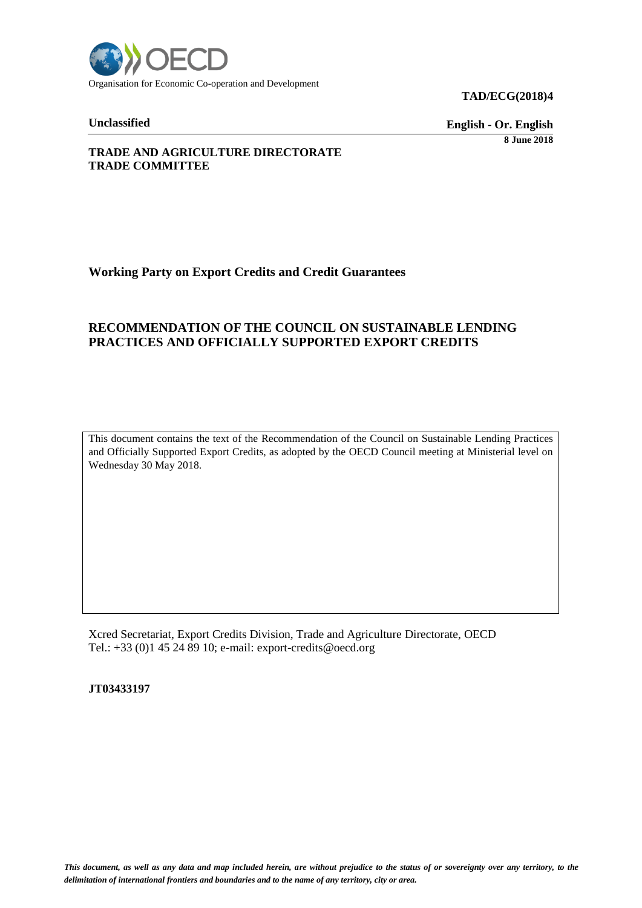

**TAD/ECG(2018)4**

**Unclassified English - Or. English 8 June 2018**

## **TRADE AND AGRICULTURE DIRECTORATE TRADE COMMITTEE**

# **Working Party on Export Credits and Credit Guarantees**

# **RECOMMENDATION OF THE COUNCIL ON SUSTAINABLE LENDING PRACTICES AND OFFICIALLY SUPPORTED EXPORT CREDITS**

This document contains the text of the Recommendation of the Council on Sustainable Lending Practices and Officially Supported Export Credits, as adopted by the OECD Council meeting at Ministerial level on Wednesday 30 May 2018.

Xcred Secretariat, Export Credits Division, Trade and Agriculture Directorate, OECD Tel.: +33 (0)1 45 24 89 10; e-mail: export-credits@oecd.org

**JT03433197**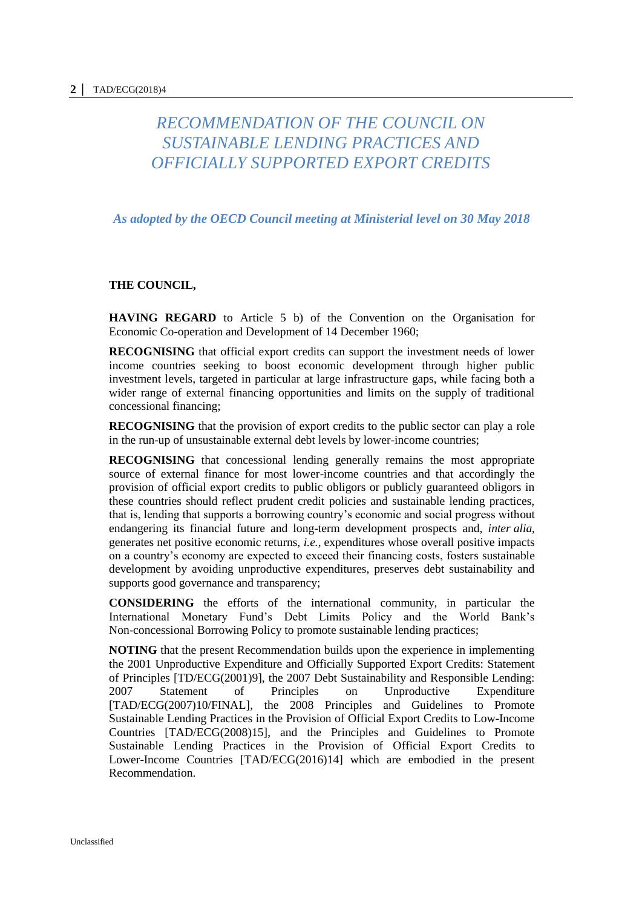# *RECOMMENDATION OF THE COUNCIL ON SUSTAINABLE LENDING PRACTICES AND OFFICIALLY SUPPORTED EXPORT CREDITS*

*As adopted by the OECD Council meeting at Ministerial level on 30 May 2018*

# **THE COUNCIL,**

**HAVING REGARD** to Article 5 b) of the Convention on the Organisation for Economic Co-operation and Development of 14 December 1960;

**RECOGNISING** that official export credits can support the investment needs of lower income countries seeking to boost economic development through higher public investment levels, targeted in particular at large infrastructure gaps, while facing both a wider range of external financing opportunities and limits on the supply of traditional concessional financing;

**RECOGNISING** that the provision of export credits to the public sector can play a role in the run-up of unsustainable external debt levels by lower-income countries;

**RECOGNISING** that concessional lending generally remains the most appropriate source of external finance for most lower-income countries and that accordingly the provision of official export credits to public obligors or publicly guaranteed obligors in these countries should reflect prudent credit policies and sustainable lending practices, that is, lending that supports a borrowing country's economic and social progress without endangering its financial future and long-term development prospects and, *inter alia*, generates net positive economic returns, *i.e.*, expenditures whose overall positive impacts on a country's economy are expected to exceed their financing costs, fosters sustainable development by avoiding unproductive expenditures, preserves debt sustainability and supports good governance and transparency;

**CONSIDERING** the efforts of the international community, in particular the International Monetary Fund's Debt Limits Policy and the World Bank's Non-concessional Borrowing Policy to promote sustainable lending practices;

**NOTING** that the present Recommendation builds upon the experience in implementing the 2001 Unproductive Expenditure and Officially Supported Export Credits: Statement of Principles [TD/ECG(2001)9], the 2007 Debt Sustainability and Responsible Lending: 2007 Statement of Principles on Unproductive Expenditure [TAD/ECG(2007)10/FINAL], the 2008 Principles and Guidelines to Promote Sustainable Lending Practices in the Provision of Official Export Credits to Low-Income Countries [TAD/ECG(2008)15], and the Principles and Guidelines to Promote Sustainable Lending Practices in the Provision of Official Export Credits to Lower-Income Countries [TAD/ECG(2016)14] which are embodied in the present Recommendation.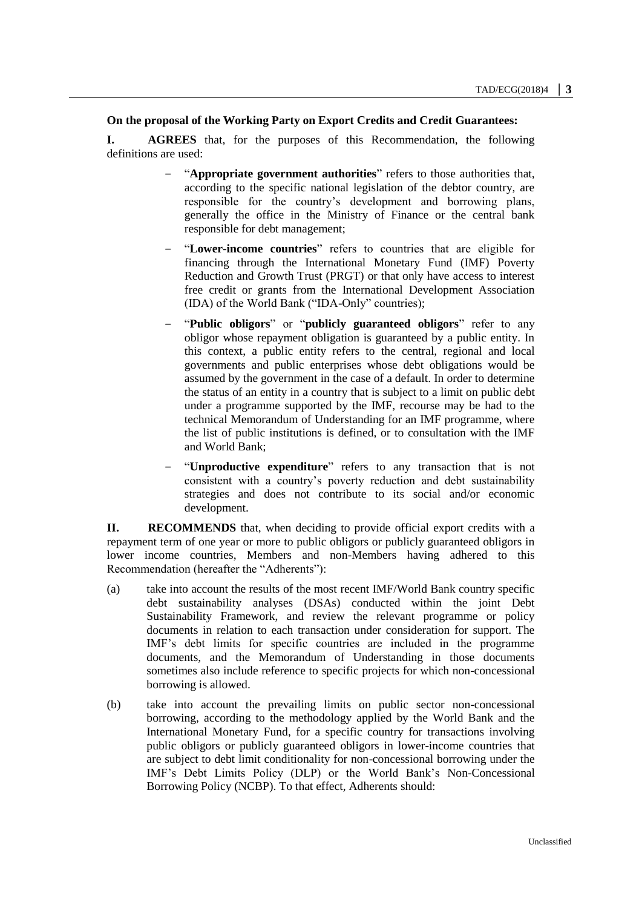### **On the proposal of the Working Party on Export Credits and Credit Guarantees:**

**I. AGREES** that, for the purposes of this Recommendation, the following definitions are used:

- ‒ "**Appropriate government authorities**" refers to those authorities that, according to the specific national legislation of the debtor country, are responsible for the country's development and borrowing plans, generally the office in the Ministry of Finance or the central bank responsible for debt management;
- ‒ "**Lower-income countries**" refers to countries that are eligible for financing through the International Monetary Fund (IMF) Poverty Reduction and Growth Trust (PRGT) or that only have access to interest free credit or grants from the International Development Association (IDA) of the World Bank ("IDA-Only" countries);
- ‒ "**Public obligors**" or "**publicly guaranteed obligors**" refer to any obligor whose repayment obligation is guaranteed by a public entity. In this context, a public entity refers to the central, regional and local governments and public enterprises whose debt obligations would be assumed by the government in the case of a default. In order to determine the status of an entity in a country that is subject to a limit on public debt under a programme supported by the IMF, recourse may be had to the technical Memorandum of Understanding for an IMF programme, where the list of public institutions is defined, or to consultation with the IMF and World Bank;
- ‒ "**Unproductive expenditure**" refers to any transaction that is not consistent with a country's poverty reduction and debt sustainability strategies and does not contribute to its social and/or economic development.

**II. RECOMMENDS** that, when deciding to provide official export credits with a repayment term of one year or more to public obligors or publicly guaranteed obligors in lower income countries, Members and non-Members having adhered to this Recommendation (hereafter the "Adherents"):

- (a) take into account the results of the most recent IMF/World Bank country specific debt sustainability analyses (DSAs) conducted within the joint Debt Sustainability Framework, and review the relevant programme or policy documents in relation to each transaction under consideration for support. The IMF's debt limits for specific countries are included in the programme documents, and the Memorandum of Understanding in those documents sometimes also include reference to specific projects for which non-concessional borrowing is allowed.
- (b) take into account the prevailing limits on public sector non-concessional borrowing, according to the methodology applied by the World Bank and the International Monetary Fund, for a specific country for transactions involving public obligors or publicly guaranteed obligors in lower-income countries that are subject to debt limit conditionality for non-concessional borrowing under the IMF's Debt Limits Policy (DLP) or the World Bank's Non-Concessional Borrowing Policy (NCBP). To that effect, Adherents should: